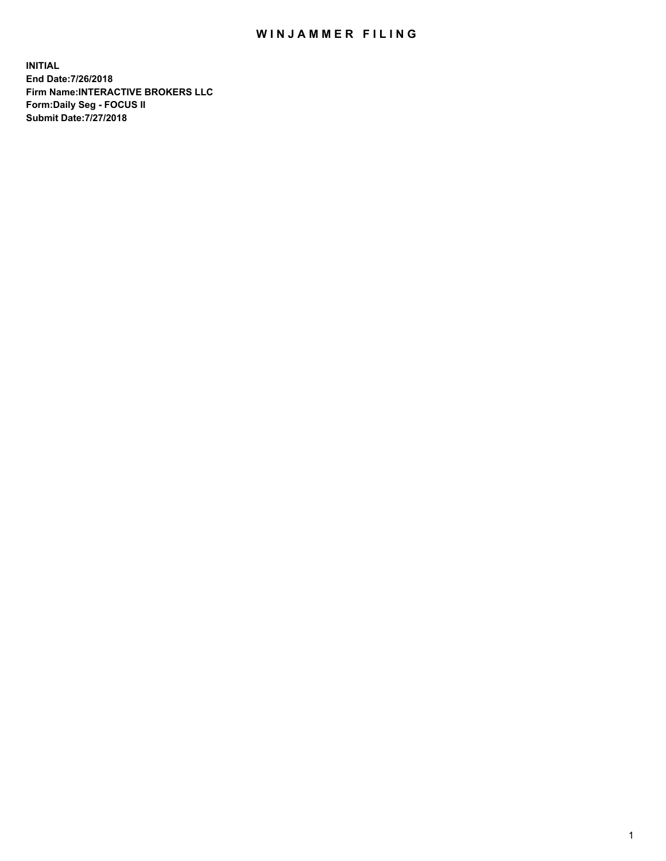## WIN JAMMER FILING

**INITIAL End Date:7/26/2018 Firm Name:INTERACTIVE BROKERS LLC Form:Daily Seg - FOCUS II Submit Date:7/27/2018**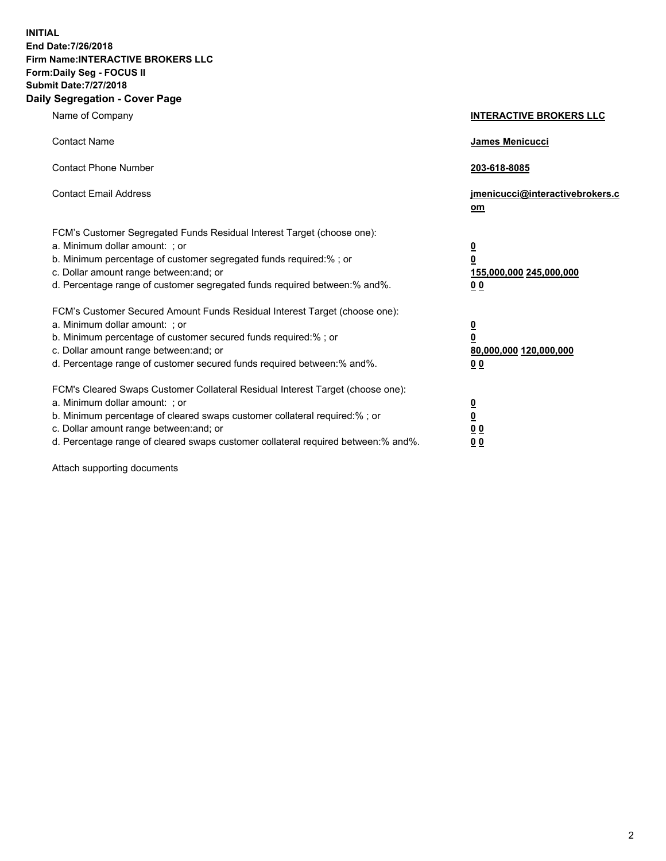**INITIAL End Date:7/26/2018 Firm Name:INTERACTIVE BROKERS LLC Form:Daily Seg - FOCUS II Submit Date:7/27/2018 Daily Segregation - Cover Page**

| Name of Company                                                                                                                                                                                                                                                                                                               | <b>INTERACTIVE BROKERS LLC</b>                                                                  |
|-------------------------------------------------------------------------------------------------------------------------------------------------------------------------------------------------------------------------------------------------------------------------------------------------------------------------------|-------------------------------------------------------------------------------------------------|
| <b>Contact Name</b>                                                                                                                                                                                                                                                                                                           | <b>James Menicucci</b>                                                                          |
| <b>Contact Phone Number</b>                                                                                                                                                                                                                                                                                                   | 203-618-8085                                                                                    |
| <b>Contact Email Address</b>                                                                                                                                                                                                                                                                                                  | jmenicucci@interactivebrokers.c<br>$om$                                                         |
| FCM's Customer Segregated Funds Residual Interest Target (choose one):<br>a. Minimum dollar amount: ; or<br>b. Minimum percentage of customer segregated funds required:% ; or<br>c. Dollar amount range between: and; or<br>d. Percentage range of customer segregated funds required between:% and%.                        | $\overline{\mathbf{0}}$<br>$\overline{\mathbf{0}}$<br>155,000,000 245,000,000<br>0 <sub>0</sub> |
| FCM's Customer Secured Amount Funds Residual Interest Target (choose one):<br>a. Minimum dollar amount: ; or<br>b. Minimum percentage of customer secured funds required:%; or<br>c. Dollar amount range between: and; or<br>d. Percentage range of customer secured funds required between:% and%.                           | $\overline{\mathbf{0}}$<br>$\pmb{0}$<br>80,000,000 120,000,000<br>0 <sub>0</sub>                |
| FCM's Cleared Swaps Customer Collateral Residual Interest Target (choose one):<br>a. Minimum dollar amount: ; or<br>b. Minimum percentage of cleared swaps customer collateral required:%; or<br>c. Dollar amount range between: and; or<br>d. Percentage range of cleared swaps customer collateral required between:% and%. | $\overline{\mathbf{0}}$<br><u>0</u><br>0 <sub>0</sub><br>00                                     |

Attach supporting documents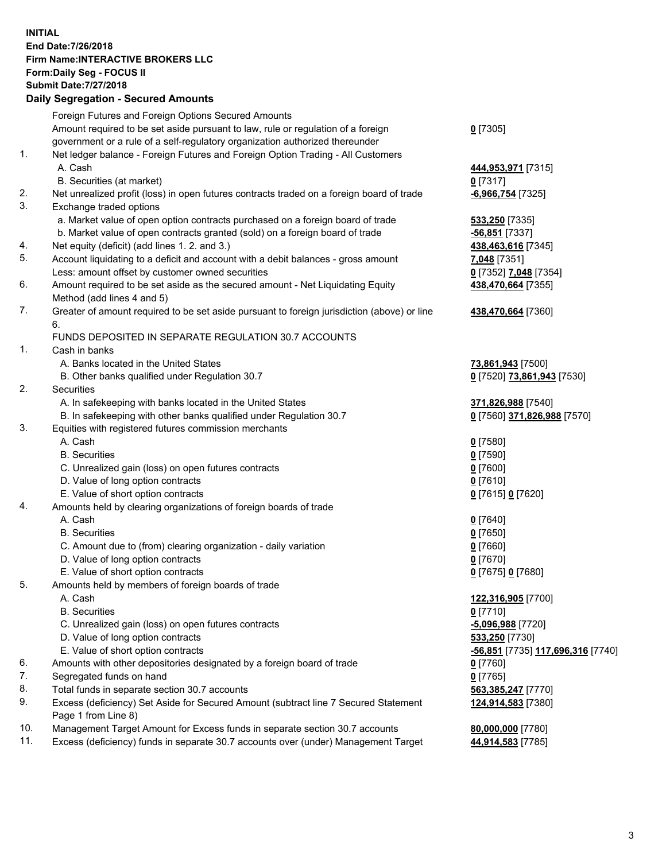## **INITIAL End Date:7/26/2018 Firm Name:INTERACTIVE BROKERS LLC Form:Daily Seg - FOCUS II Submit Date:7/27/2018 Daily Segregation - Secured Amounts**

|                | Daily Ocglegation - Occarea Anioants                                                                       |                                          |
|----------------|------------------------------------------------------------------------------------------------------------|------------------------------------------|
|                | Foreign Futures and Foreign Options Secured Amounts                                                        |                                          |
|                | Amount required to be set aside pursuant to law, rule or regulation of a foreign                           | $0$ [7305]                               |
|                | government or a rule of a self-regulatory organization authorized thereunder                               |                                          |
| $\mathbf{1}$ . | Net ledger balance - Foreign Futures and Foreign Option Trading - All Customers                            |                                          |
|                | A. Cash                                                                                                    | 444,953,971 [7315]                       |
|                | B. Securities (at market)                                                                                  | $0$ [7317]                               |
| 2.             | Net unrealized profit (loss) in open futures contracts traded on a foreign board of trade                  | $-6,966,754$ [7325]                      |
| 3.             | Exchange traded options                                                                                    |                                          |
|                | a. Market value of open option contracts purchased on a foreign board of trade                             | 533,250 [7335]                           |
|                | b. Market value of open contracts granted (sold) on a foreign board of trade                               | $-56,851$ [7337]                         |
| 4.             | Net equity (deficit) (add lines 1. 2. and 3.)                                                              | 438,463,616 [7345]                       |
| 5.             | Account liquidating to a deficit and account with a debit balances - gross amount                          | 7,048 [7351]                             |
|                | Less: amount offset by customer owned securities                                                           | 0 [7352] 7,048 [7354]                    |
| 6.             | Amount required to be set aside as the secured amount - Net Liquidating Equity                             | 438,470,664 [7355]                       |
|                | Method (add lines 4 and 5)                                                                                 |                                          |
| 7.             | Greater of amount required to be set aside pursuant to foreign jurisdiction (above) or line                | 438,470,664 [7360]                       |
|                | 6.                                                                                                         |                                          |
|                | FUNDS DEPOSITED IN SEPARATE REGULATION 30.7 ACCOUNTS                                                       |                                          |
| 1.             | Cash in banks                                                                                              |                                          |
|                | A. Banks located in the United States                                                                      | 73,861,943 [7500]                        |
|                | B. Other banks qualified under Regulation 30.7                                                             | 0 [7520] 73,861,943 [7530]               |
| 2.             | Securities                                                                                                 |                                          |
|                | A. In safekeeping with banks located in the United States                                                  | 371,826,988 [7540]                       |
|                | B. In safekeeping with other banks qualified under Regulation 30.7                                         | 0 [7560] 371,826,988 [7570]              |
| 3.             | Equities with registered futures commission merchants                                                      |                                          |
|                | A. Cash                                                                                                    | $0$ [7580]                               |
|                | <b>B.</b> Securities                                                                                       | $0$ [7590]                               |
|                | C. Unrealized gain (loss) on open futures contracts                                                        | $0$ [7600]                               |
|                | D. Value of long option contracts                                                                          | $0$ [7610]                               |
|                | E. Value of short option contracts                                                                         | 0 [7615] 0 [7620]                        |
| 4.             | Amounts held by clearing organizations of foreign boards of trade                                          |                                          |
|                | A. Cash                                                                                                    | $0$ [7640]                               |
|                | <b>B.</b> Securities                                                                                       | $0$ [7650]                               |
|                | C. Amount due to (from) clearing organization - daily variation                                            | $0$ [7660]                               |
|                | D. Value of long option contracts                                                                          | $0$ [7670]                               |
|                | E. Value of short option contracts                                                                         | 0 [7675] 0 [7680]                        |
| 5.             | Amounts held by members of foreign boards of trade                                                         |                                          |
|                | A. Cash                                                                                                    | 122,316,905 [7700]                       |
|                | <b>B.</b> Securities                                                                                       | $0$ [7710]                               |
|                | C. Unrealized gain (loss) on open futures contracts                                                        | $-5,096,988$ [7720]                      |
|                | D. Value of long option contracts                                                                          | 533,250 [7730]                           |
|                | E. Value of short option contracts                                                                         | <u>-56,851</u> [7735] 117,696,316 [7740] |
| 6.             | Amounts with other depositories designated by a foreign board of trade                                     | 0 [7760]                                 |
| 7.             | Segregated funds on hand                                                                                   | $0$ [7765]                               |
| 8.             | Total funds in separate section 30.7 accounts                                                              | 563,385,247 [7770]                       |
| 9.             | Excess (deficiency) Set Aside for Secured Amount (subtract line 7 Secured Statement<br>Page 1 from Line 8) | 124,914,583 [7380]                       |
| 10.            | Management Target Amount for Excess funds in separate section 30.7 accounts                                | 80,000,000 [7780]                        |
| 11.            | Excess (deficiency) funds in separate 30.7 accounts over (under) Management Target                         | 44,914,583 [7785]                        |
|                |                                                                                                            |                                          |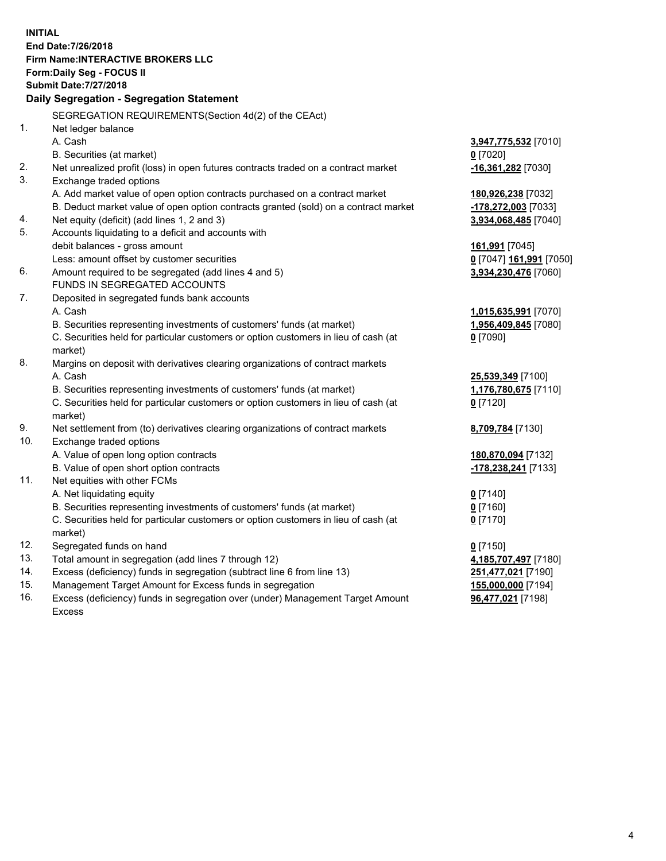**INITIAL End Date:7/26/2018 Firm Name:INTERACTIVE BROKERS LLC Form:Daily Seg - FOCUS II Submit Date:7/27/2018 Daily Segregation - Segregation Statement** SEGREGATION REQUIREMENTS(Section 4d(2) of the CEAct) 1. Net ledger balance A. Cash **3,947,775,532** [7010] B. Securities (at market) **0** [7020] 2. Net unrealized profit (loss) in open futures contracts traded on a contract market **-16,361,282** [7030] 3. Exchange traded options A. Add market value of open option contracts purchased on a contract market **180,926,238** [7032] B. Deduct market value of open option contracts granted (sold) on a contract market **-178,272,003** [7033] 4. Net equity (deficit) (add lines 1, 2 and 3) **3,934,068,485** [7040] 5. Accounts liquidating to a deficit and accounts with debit balances - gross amount **161,991** [7045] Less: amount offset by customer securities **0** [7047] **161,991** [7050] 6. Amount required to be segregated (add lines 4 and 5) **3,934,230,476** [7060] FUNDS IN SEGREGATED ACCOUNTS 7. Deposited in segregated funds bank accounts A. Cash **1,015,635,991** [7070] B. Securities representing investments of customers' funds (at market) **1,956,409,845** [7080] C. Securities held for particular customers or option customers in lieu of cash (at market) **0** [7090] 8. Margins on deposit with derivatives clearing organizations of contract markets A. Cash **25,539,349** [7100] B. Securities representing investments of customers' funds (at market) **1,176,780,675** [7110] C. Securities held for particular customers or option customers in lieu of cash (at market) **0** [7120] 9. Net settlement from (to) derivatives clearing organizations of contract markets **8,709,784** [7130] 10. Exchange traded options A. Value of open long option contracts **180,870,094** [7132] B. Value of open short option contracts **-178,238,241** [7133] 11. Net equities with other FCMs A. Net liquidating equity **0** [7140] B. Securities representing investments of customers' funds (at market) **0** [7160] C. Securities held for particular customers or option customers in lieu of cash (at market) **0** [7170] 12. Segregated funds on hand **0** [7150] 13. Total amount in segregation (add lines 7 through 12) **4,185,707,497** [7180] 14. Excess (deficiency) funds in segregation (subtract line 6 from line 13) **251,477,021** [7190] 15. Management Target Amount for Excess funds in segregation **155,000,000** [7194] **96,477,021** [7198]

16. Excess (deficiency) funds in segregation over (under) Management Target Amount Excess